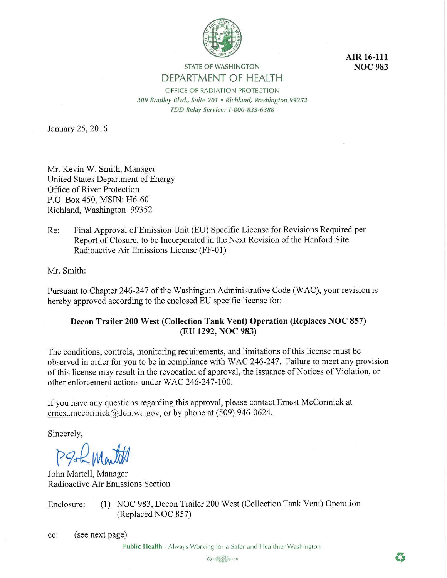

**AIR 16-111 NOC 983** 

# **STATE OF WASHINGTON DEPARTMENT OF HEALTH**

OFFICE OF RADIATION PROTECTION *309 Bradley Blvd., Suite 201* • *Richland, Washington 99352 TDD Relay Service: 1-800-833-6388* 

January 25, 2016

Mr. Kevin W. Smith, Manager United States Department of Energy Office of River Protection P.O. Box 450, MSIN: H6-60 Richland, Washington 99352

Re: Final Approval of Emission Unit (EU) Specific License for Revisions Required per Report of Closure, to be Incorporated in the Next Revision of the Hanford Site Radioactive Air Emissions License (FF-01)

Mr. Smith:

Pursuant to Chapter 246-247 of the Washington Administrative Code (WAC), your revision is hereby approved according to the enclosed EU specific license for:

# **Decon Trailer 200 West (Collection Tank Vent) Operation (Replaces NOC 857) (EU 1292, NOC 983)**

The conditions, controls, monitoring requirements, and limitations of this license must be observed in order for you to be in compliance with WAC 246-247. Failure to meet any provision of this license may result in the revocation of approval, the issuance of Notices of Violation, or other enforcement actions under WAC 246-247-100.

If you have any questions regarding this approval, please contact Ernest McCormick at ernest.mccormick@doh.wa.gov, or by phone at (509) 946-0624.

Sincerely,

PSL Month

John Martell, Manager Radioactive Air Emissions Section

Enclosure: (1) NOC 983, Decon Trailer 200 West (Collection Tank Vent) Operation (Replaced NOC 857)

cc: ( see next page)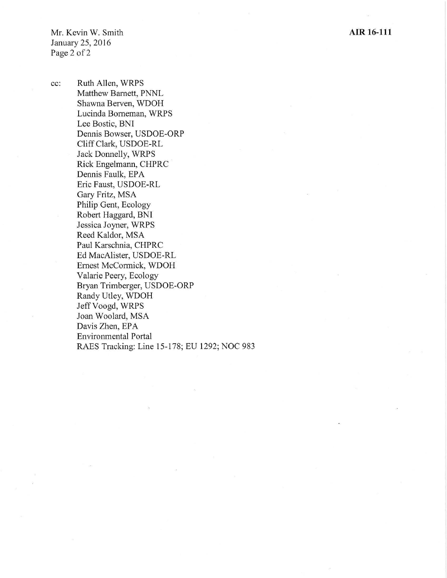cc: Ruth Allen, WRPS Matthew Barnett, PNNL Shawna Berven, WDOH Lucinda Borneman, WRPS Lee Bostic, BNI Dennis Bowser, USDOE-ORP Cliff Clark, USDOE-RL Jack Donnelly, WRPS Rick Engelmann, CHPRC Dennis Faulk, EPA Eric Faust, USDOE-RL Gary Fritz, MSA Philip Gent, Ecology Robert Haggard, BNI Jessica Joyner, WRPS Reed Kaldor, MSA Paul Karschnia, CHPRC Ed MacAlister, USDOE-RL Ernest McCormick, WDOH Valarie Peery, Ecology Bryan Trimberger, USDOE-ORP Randy Utley, WDOH Jeff Voogd, WRPS Joan Woolard, MSA Davis Zhen, EPA Environmental Portal RAES Tracking: Line 15-178; EU 1292; NOC 983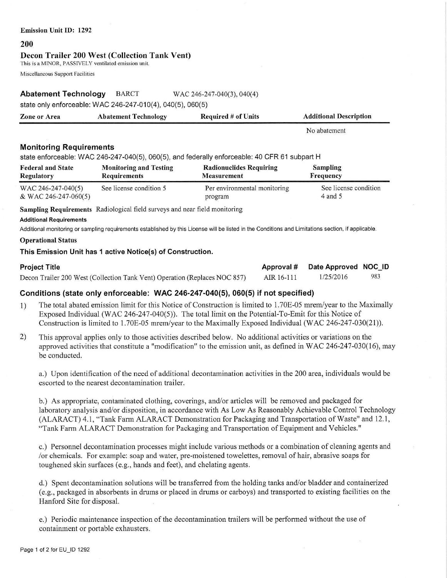#### **Emission Unit** ID: **1292**

#### **200**

#### **Decon Trailer 200 West (Collection Tank Vent)**

This is a MINOR, PASSIVELY ventilated emission unit.

Miscellaneous Support Facilities

## **Abatement Technology** BARCT WAC 246-247-040(3), 040(4)

state only enforceable: WAC 246-247-010(4), 040(5), 060(5)

| <b>Zone or Area</b> | <b>Abatement Technology</b> | <b>Required # of Units</b> | <b>Additional Description</b> |
|---------------------|-----------------------------|----------------------------|-------------------------------|
|                     |                             |                            | No abatement                  |

# **Monitoring Requirements**

state enforceable: WAC 246-247-040(5), 060(5), and federally enforceable: 40 CFR 61 subpart H

| <b>Federal and State</b> | <b>Monitoring and Testing</b> | <b>Radionuclides Requiring</b> | <b>Sampling</b>       |
|--------------------------|-------------------------------|--------------------------------|-----------------------|
| Regulatory               | <b>Requirements</b>           | <b>Measurement</b>             | Frequency             |
| WAC 246-247-040(5)       | See license condition 5       | Per environmental monitoring   | See license condition |
| & WAC 246-247-060(5)     |                               | program                        | $4$ and 5             |

**Sampling Requirements** Radiological field surveys and near field monitoring

#### **Additional Requirements**

Additional monitoring or sampling requirements established by this License will be listed in the Conditions and Limitations section, if applicable.

### **Operational Status**

## **This Emission Unit has 1 active Notice(s) of Construction.**

| <b>Project Title</b>                                                       |            | Approval # Date Approved NOC ID |     |
|----------------------------------------------------------------------------|------------|---------------------------------|-----|
| Decon Trailer 200 West (Collection Tank Vent) Operation (Replaces NOC 857) | AIR 16-111 | 1/25/2016                       | 983 |

# **Conditions (state only enforceable: WAC 246-247-040(5), 060(5) if not specified)**

- 1) The total abated emission limit for this Notice of Construction is limited to 1. 70E-05 mrem/year to the Maximally Exposed Individual (WAC 246-247-040(5)). The total limit on the Potential-To-Emit for this Notice of Construction is limited to 1.70E-05 mrem/year to the Maximally Exposed Individual (WAC 246-247-030(21)).
- 2) This approval applies only to those activities described below. No additional activities or variations on the approved activities that constitute a "modification" to the emission unit, as defined in WAC 246-247-030(16), may be conducted.

a.) Upon identification of the need of additional decontamination activities in the 200 area, individuals would be escorted to the nearest decontamination trailer.

b.) As appropriate, contaminated clothing, coverings, and/or articles will be removed and packaged for laboratory analysis and/or disposition, in accordance with As Low As Reasonably Achievable Control Technology (ALARACT) 4.1, "Tank Farm ALARACT Demonstration for Packaging and Transportation of Waste" and 12.1, "Tank Farm ALARACT Demonstration for Packaging and Transportation of Equipment and Vehicles."

c.) Personnel decontamination processes might include various methods or a combination of cleaning agents and /or chemicals. For example: soap and water, pre-moistened towelettes, removal of hair, abrasive soaps for toughened skin surfaces (e.g., hands and feet), and chelating agents.

d.) Spent decontamination solutions will be transferred from the holding tanks and/or bladder and containerized (e.g., packaged in absorbents in drums or placed in drums or carboys) and transported to existing facilities on the Hanford Site for disposal.

e.) Periodic maintenance inspection of the decontamination trailers will be perfonned without the use of containment or portable exhausters.